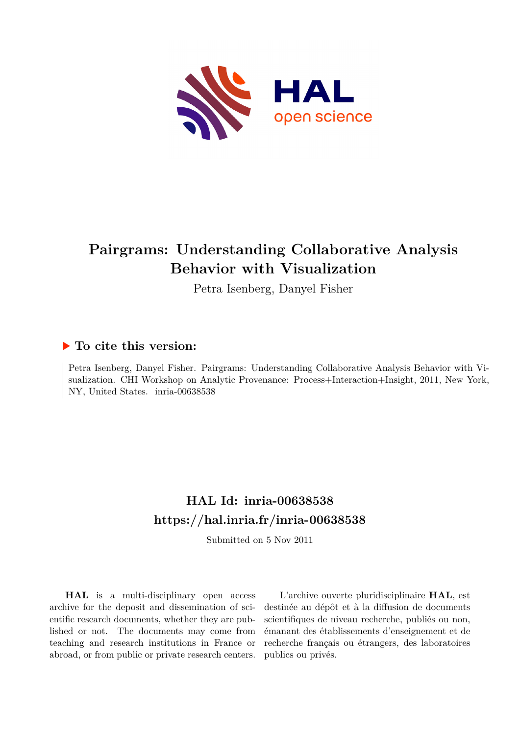

# **Pairgrams: Understanding Collaborative Analysis Behavior with Visualization**

Petra Isenberg, Danyel Fisher

# **To cite this version:**

Petra Isenberg, Danyel Fisher. Pairgrams: Understanding Collaborative Analysis Behavior with Visualization. CHI Workshop on Analytic Provenance: Process+Interaction+Insight, 2011, New York, NY, United States. inria-00638538

# **HAL Id: inria-00638538 <https://hal.inria.fr/inria-00638538>**

Submitted on 5 Nov 2011

**HAL** is a multi-disciplinary open access archive for the deposit and dissemination of scientific research documents, whether they are published or not. The documents may come from teaching and research institutions in France or abroad, or from public or private research centers.

L'archive ouverte pluridisciplinaire **HAL**, est destinée au dépôt et à la diffusion de documents scientifiques de niveau recherche, publiés ou non, émanant des établissements d'enseignement et de recherche français ou étrangers, des laboratoires publics ou privés.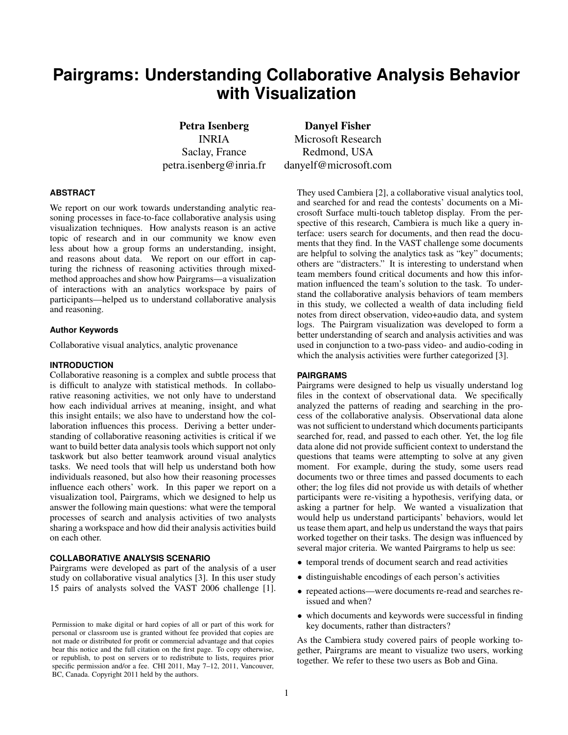# **Pairgrams: Understanding Collaborative Analysis Behavior with Visualization**

Petra Isenberg Danyel Fisher INRIA Microsoft Research Saclay, France Redmond, USA petra.isenberg@inria.fr danyelf@microsoft.com

## **ABSTRACT**

We report on our work towards understanding analytic reasoning processes in face-to-face collaborative analysis using visualization techniques. How analysts reason is an active topic of research and in our community we know even less about how a group forms an understanding, insight, and reasons about data. We report on our effort in capturing the richness of reasoning activities through mixedmethod approaches and show how Pairgrams—a visualization of interactions with an analytics workspace by pairs of participants—helped us to understand collaborative analysis and reasoning.

#### **Author Keywords**

Collaborative visual analytics, analytic provenance

#### **INTRODUCTION**

Collaborative reasoning is a complex and subtle process that is difficult to analyze with statistical methods. In collaborative reasoning activities, we not only have to understand how each individual arrives at meaning, insight, and what this insight entails; we also have to understand how the collaboration influences this process. Deriving a better understanding of collaborative reasoning activities is critical if we want to build better data analysis tools which support not only taskwork but also better teamwork around visual analytics tasks. We need tools that will help us understand both how individuals reasoned, but also how their reasoning processes influence each others' work. In this paper we report on a visualization tool, Pairgrams, which we designed to help us answer the following main questions: what were the temporal processes of search and analysis activities of two analysts sharing a workspace and how did their analysis activities build on each other.

## **COLLABORATIVE ANALYSIS SCENARIO**

Pairgrams were developed as part of the analysis of a user study on collaborative visual analytics [3]. In this user study 15 pairs of analysts solved the VAST 2006 challenge [1].

They used Cambiera [2], a collaborative visual analytics tool, and searched for and read the contests' documents on a Microsoft Surface multi-touch tabletop display. From the perspective of this research, Cambiera is much like a query interface: users search for documents, and then read the documents that they find. In the VAST challenge some documents are helpful to solving the analytics task as "key" documents; others are "distracters." It is interesting to understand when team members found critical documents and how this information influenced the team's solution to the task. To understand the collaborative analysis behaviors of team members in this study, we collected a wealth of data including field notes from direct observation, video+audio data, and system logs. The Pairgram visualization was developed to form a better understanding of search and analysis activities and was used in conjunction to a two-pass video- and audio-coding in which the analysis activities were further categorized [3].

### **PAIRGRAMS**

Pairgrams were designed to help us visually understand log files in the context of observational data. We specifically analyzed the patterns of reading and searching in the process of the collaborative analysis. Observational data alone was not sufficient to understand which documents participants searched for, read, and passed to each other. Yet, the log file data alone did not provide sufficient context to understand the questions that teams were attempting to solve at any given moment. For example, during the study, some users read documents two or three times and passed documents to each other; the log files did not provide us with details of whether participants were re-visiting a hypothesis, verifying data, or asking a partner for help. We wanted a visualization that would help us understand participants' behaviors, would let us tease them apart, and help us understand the ways that pairs worked together on their tasks. The design was influenced by several major criteria. We wanted Pairgrams to help us see:

- temporal trends of document search and read activities
- distinguishable encodings of each person's activities
- repeated actions—were documents re-read and searches reissued and when?
- which documents and keywords were successful in finding key documents, rather than distracters?

As the Cambiera study covered pairs of people working together, Pairgrams are meant to visualize two users, working together. We refer to these two users as Bob and Gina.

Permission to make digital or hard copies of all or part of this work for personal or classroom use is granted without fee provided that copies are not made or distributed for profit or commercial advantage and that copies bear this notice and the full citation on the first page. To copy otherwise, or republish, to post on servers or to redistribute to lists, requires prior specific permission and/or a fee. CHI 2011, May 7-12, 2011, Vancouver, BC, Canada. Copyright 2011 held by the authors.